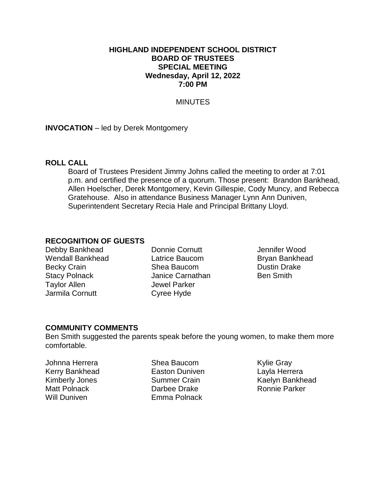#### **HIGHLAND INDEPENDENT SCHOOL DISTRICT BOARD OF TRUSTEES SPECIAL MEETING Wednesday, April 12, 2022 7:00 PM**

## **MINUTES**

# **INVOCATION** – led by Derek Montgomery

#### **ROLL CALL**

Board of Trustees President Jimmy Johns called the meeting to order at 7:01 p.m. and certified the presence of a quorum. Those present: Brandon Bankhead, Allen Hoelscher, Derek Montgomery, Kevin Gillespie, Cody Muncy, and Rebecca Gratehouse. Also in attendance Business Manager Lynn Ann Duniven, Superintendent Secretary Recia Hale and Principal Brittany Lloyd.

#### **RECOGNITION OF GUESTS**

Debby Bankhead Wendall Bankhead Becky Crain Stacy Polnack Taylor Allen Jarmila Cornutt

Donnie Cornutt Latrice Baucom Shea Baucom Janice Carnathan Jewel Parker Cyree Hyde

Jennifer Wood Bryan Bankhead Dustin Drake Ben Smith

#### **COMMUNITY COMMENTS**

Ben Smith suggested the parents speak before the young women, to make them more comfortable.

Johnna Herrera Kerry Bankhead Kimberly Jones Matt Polnack Will Duniven

Shea Baucom Easton Duniven Summer Crain Darbee Drake Emma Polnack

Kylie Gray Layla Herrera Kaelyn Bankhead Ronnie Parker